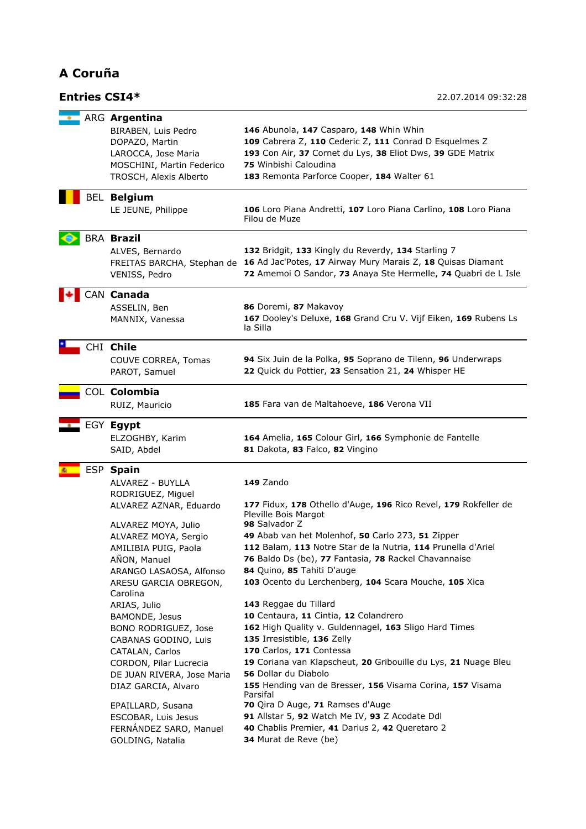## **A Coruña**

## **Entries CSI4\*** 22.07.2014 09:32:28

|  | ARG Argentina                              |                                                                                        |  |
|--|--------------------------------------------|----------------------------------------------------------------------------------------|--|
|  | BIRABEN, Luis Pedro                        | 146 Abunola, 147 Casparo, 148 Whin Whin                                                |  |
|  |                                            |                                                                                        |  |
|  | DOPAZO, Martin                             | 109 Cabrera Z, 110 Cederic Z, 111 Conrad D Esquelmes Z                                 |  |
|  | LAROCCA, Jose Maria                        | 193 Con Air, 37 Cornet du Lys, 38 Eliot Dws, 39 GDE Matrix                             |  |
|  | MOSCHINI, Martin Federico                  | 75 Winbishi Caloudina                                                                  |  |
|  | TROSCH, Alexis Alberto                     | 183 Remonta Parforce Cooper, 184 Walter 61                                             |  |
|  |                                            |                                                                                        |  |
|  | <b>BEL Belgium</b>                         |                                                                                        |  |
|  | LE JEUNE, Philippe                         | 106 Loro Piana Andretti, 107 Loro Piana Carlino, 108 Loro Piana                        |  |
|  |                                            | Filou de Muze                                                                          |  |
|  |                                            |                                                                                        |  |
|  | <b>BRA Brazil</b>                          |                                                                                        |  |
|  | ALVES, Bernardo                            | 132 Bridgit, 133 Kingly du Reverdy, 134 Starling 7                                     |  |
|  |                                            | FREITAS BARCHA, Stephan de 16 Ad Jac'Potes, 17 Airway Mury Marais Z, 18 Quisas Diamant |  |
|  |                                            |                                                                                        |  |
|  | VENISS, Pedro                              | 72 Amemoi O Sandor, 73 Anaya Ste Hermelle, 74 Quabri de L Isle                         |  |
|  | CAN Canada                                 |                                                                                        |  |
|  | ASSELIN, Ben                               | 86 Doremi, 87 Makavoy                                                                  |  |
|  |                                            |                                                                                        |  |
|  | MANNIX, Vanessa                            | 167 Dooley's Deluxe, 168 Grand Cru V. Vijf Eiken, 169 Rubens Ls                        |  |
|  |                                            | la Silla                                                                               |  |
|  | CHI Chile                                  |                                                                                        |  |
|  | COUVE CORREA, Tomas                        | 94 Six Juin de la Polka, 95 Soprano de Tilenn, 96 Underwraps                           |  |
|  |                                            |                                                                                        |  |
|  | PAROT, Samuel                              | 22 Quick du Pottier, 23 Sensation 21, 24 Whisper HE                                    |  |
|  | COL Colombia                               |                                                                                        |  |
|  | RUIZ, Mauricio                             | 185 Fara van de Maltahoeve, 186 Verona VII                                             |  |
|  |                                            |                                                                                        |  |
|  | EGY Egypt                                  |                                                                                        |  |
|  | ELZOGHBY, Karim                            | 164 Amelia, 165 Colour Girl, 166 Symphonie de Fantelle                                 |  |
|  |                                            | 81 Dakota, 83 Falco, 82 Vingino                                                        |  |
|  | SAID, Abdel                                |                                                                                        |  |
|  | ESP Spain                                  |                                                                                        |  |
|  | ALVAREZ - BUYLLA                           | 149 Zando                                                                              |  |
|  | RODRIGUEZ, Miguel                          |                                                                                        |  |
|  |                                            | 177 Fidux, 178 Othello d'Auge, 196 Rico Revel, 179 Rokfeller de                        |  |
|  | ALVAREZ AZNAR, Eduardo                     |                                                                                        |  |
|  |                                            |                                                                                        |  |
|  |                                            | Pleville Bois Margot                                                                   |  |
|  | ALVAREZ MOYA, Julio                        | 98 Salvador Z                                                                          |  |
|  | ALVAREZ MOYA, Sergio                       | 49 Abab van het Molenhof, 50 Carlo 273, 51 Zipper                                      |  |
|  | AMILIBIA PUIG, Paola                       | 112 Balam, 113 Notre Star de la Nutria, 114 Prunella d'Ariel                           |  |
|  |                                            |                                                                                        |  |
|  | AÑON, Manuel                               | 76 Baldo Ds (be), 77 Fantasia, 78 Rackel Chavannaise                                   |  |
|  | ARANGO LASAOSA, Alfonso                    | 84 Quino, 85 Tahiti D'auge                                                             |  |
|  | ARESU GARCIA OBREGON,                      | 103 Ocento du Lerchenberg, 104 Scara Mouche, 105 Xica                                  |  |
|  | Carolina                                   |                                                                                        |  |
|  | ARIAS, Julio                               | 143 Reggae du Tillard                                                                  |  |
|  | BAMONDE, Jesus                             | 10 Centaura, 11 Cintia, 12 Colandrero                                                  |  |
|  | BONO RODRIGUEZ, Jose                       | 162 High Quality v. Guldennagel, 163 Sligo Hard Times                                  |  |
|  |                                            |                                                                                        |  |
|  | CABANAS GODINO, Luis                       | 135 Irresistible, 136 Zelly                                                            |  |
|  | CATALAN, Carlos                            | 170 Carlos, 171 Contessa                                                               |  |
|  | CORDON, Pilar Lucrecia                     | 19 Coriana van Klapscheut, 20 Gribouille du Lys, 21 Nuage Bleu                         |  |
|  | DE JUAN RIVERA, Jose Maria                 | 56 Dollar du Diabolo                                                                   |  |
|  | DIAZ GARCIA, Alvaro                        | 155 Hending van de Bresser, 156 Visama Corina, 157 Visama                              |  |
|  |                                            | Parsifal                                                                               |  |
|  | EPAILLARD, Susana                          | 70 Qira D Auge, 71 Ramses d'Auge                                                       |  |
|  | ESCOBAR, Luis Jesus                        | 91 Allstar 5, 92 Watch Me IV, 93 Z Acodate Ddl                                         |  |
|  | FERNÁNDEZ SARO, Manuel<br>GOLDING, Natalia | 40 Chablis Premier, 41 Darius 2, 42 Queretaro 2<br>34 Murat de Reve (be)               |  |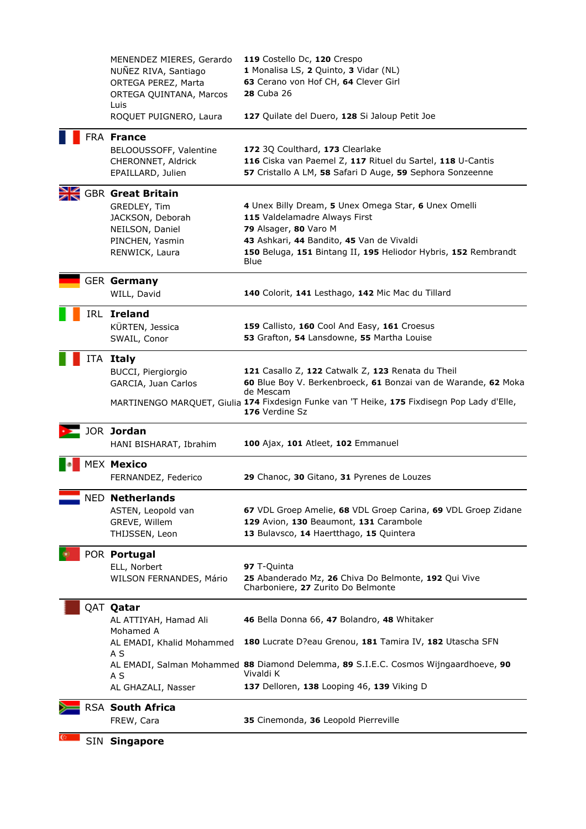|  | SIN Singapore                                                                                              |                                                                                                                                                                               |
|--|------------------------------------------------------------------------------------------------------------|-------------------------------------------------------------------------------------------------------------------------------------------------------------------------------|
|  | FREW, Cara                                                                                                 | 35 Cinemonda, 36 Leopold Pierreville                                                                                                                                          |
|  | AL GHAZALI, Nasser<br>RSA South Africa                                                                     | 137 Delloren, 138 Looping 46, 139 Viking D                                                                                                                                    |
|  | A S                                                                                                        | AL EMADI, Salman Mohammed 88 Diamond Delemma, 89 S.I.E.C. Cosmos Wijngaardhoeve, 90<br>Vivaldi K                                                                              |
|  | AL EMADI, Khalid Mohammed<br>A S                                                                           | 180 Lucrate D?eau Grenou, 181 Tamira IV, 182 Utascha SFN                                                                                                                      |
|  | QAT <b>Qatar</b><br>AL ATTIYAH, Hamad Ali<br>Mohamed A                                                     | 46 Bella Donna 66, 47 Bolandro, 48 Whitaker                                                                                                                                   |
|  | WILSON FERNANDES, Mário                                                                                    | 25 Abanderado Mz, 26 Chiva Do Belmonte, 192 Qui Vive<br>Charboniere, 27 Zurito Do Belmonte                                                                                    |
|  | POR Portugal<br>ELL, Norbert                                                                               | 97 T-Quinta                                                                                                                                                                   |
|  | <b>NED Netherlands</b><br>ASTEN, Leopold van<br>GREVE, Willem<br>THIJSSEN, Leon                            | 67 VDL Groep Amelie, 68 VDL Groep Carina, 69 VDL Groep Zidane<br>129 Avion, 130 Beaumont, 131 Carambole<br>13 Bulavsco, 14 Haertthago, 15 Quintera                            |
|  | FERNANDEZ, Federico                                                                                        | 29 Chanoc, 30 Gitano, 31 Pyrenes de Louzes                                                                                                                                    |
|  | HANI BISHARAT, Ibrahim<br><b>MEX Mexico</b>                                                                | 100 Ajax, 101 Atleet, 102 Emmanuel                                                                                                                                            |
|  | JOR Jordan                                                                                                 | 176 Verdine Sz                                                                                                                                                                |
|  |                                                                                                            | de Mescam<br>MARTINENGO MARQUET, Giulia 174 Fixdesign Funke van 'T Heike, 175 Fixdisegn Pop Lady d'Elle,                                                                      |
|  | BUCCI, Piergiorgio<br>GARCIA, Juan Carlos                                                                  | 121 Casallo Z, 122 Catwalk Z, 123 Renata du Theil<br>60 Blue Boy V. Berkenbroeck, 61 Bonzai van de Warande, 62 Moka                                                           |
|  | ITA Italy                                                                                                  |                                                                                                                                                                               |
|  | IRL Ireland<br>KÜRTEN, Jessica<br>SWAIL, Conor                                                             | 159 Callisto, 160 Cool And Easy, 161 Croesus<br>53 Grafton, 54 Lansdowne, 55 Martha Louise                                                                                    |
|  | WILL, David                                                                                                | 140 Colorit, 141 Lesthago, 142 Mic Mac du Tillard                                                                                                                             |
|  | <b>GER Germany</b>                                                                                         |                                                                                                                                                                               |
|  | JACKSON, Deborah<br>NEILSON, Daniel<br>PINCHEN, Yasmin<br>RENWICK, Laura                                   | 115 Valdelamadre Always First<br>79 Alsager, 80 Varo M<br>43 Ashkari, 44 Bandito, 45 Van de Vivaldi<br>150 Beluga, 151 Bintang II, 195 Heliodor Hybris, 152 Rembrandt<br>Blue |
|  | <b>GBR</b> Great Britain<br>GREDLEY, Tim                                                                   | 4 Unex Billy Dream, 5 Unex Omega Star, 6 Unex Omelli                                                                                                                          |
|  | FRA France<br>BELOOUSSOFF, Valentine<br>CHERONNET, Aldrick<br>EPAILLARD, Julien                            | 172 3Q Coulthard, 173 Clearlake<br>116 Ciska van Paemel Z, 117 Rituel du Sartel, 118 U-Cantis<br>57 Cristallo A LM, 58 Safari D Auge, 59 Sephora Sonzeenne                    |
|  | ROQUET PUIGNERO, Laura                                                                                     | 127 Quilate del Duero, 128 Si Jaloup Petit Joe                                                                                                                                |
|  | MENENDEZ MIERES, Gerardo<br>NUÑEZ RIVA, Santiago<br>ORTEGA PEREZ, Marta<br>ORTEGA QUINTANA, Marcos<br>Luis | 119 Costello Dc, 120 Crespo<br>1 Monalisa LS, 2 Quinto, 3 Vidar (NL)<br>63 Cerano von Hof CH, 64 Clever Girl<br><b>28 Cuba 26</b>                                             |